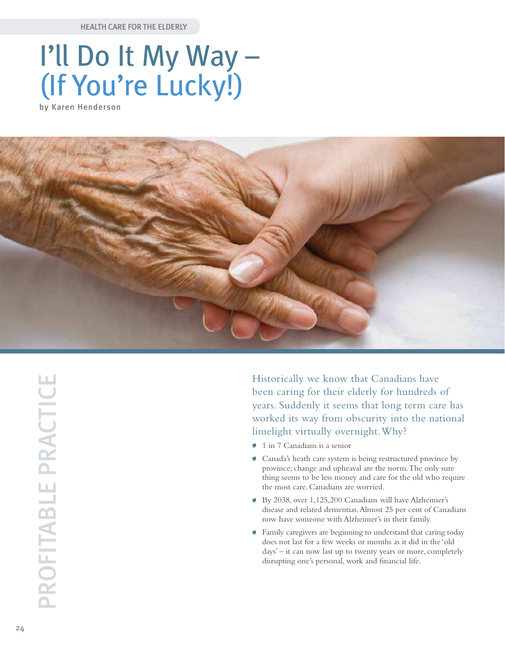Health Care for the Elderly

## I'll Do It My Way – (If You're Lucky!)

by Karen Henderson



PROFITABLE PRACTICE Profitable Practice

Historically we know that Canadians have been caring for their elderly for hundreds of years. Suddenly it seems that long term care has worked its way from obscurity into the national limelight virtually overnight. Why?

- 1 in 7 Canadians is a senior
- Canada's heath care system is being restructured province by province; change and upheaval are the norm. The only sure thing seems to be less money and care for the old who require the most care. Canadians are worried.
- By 2038, over 1,125,200 Canadians will have Alzheimer's disease and related dementias. Almost 25 per cent of Canadians now have someone with Alzheimer's in their family.
- Family caregivers are beginning to understand that caring today does not last for a few weeks or months as it did in the 'old days' – it can now last up to twenty years or more, completely disrupting one's personal, work and financial life.